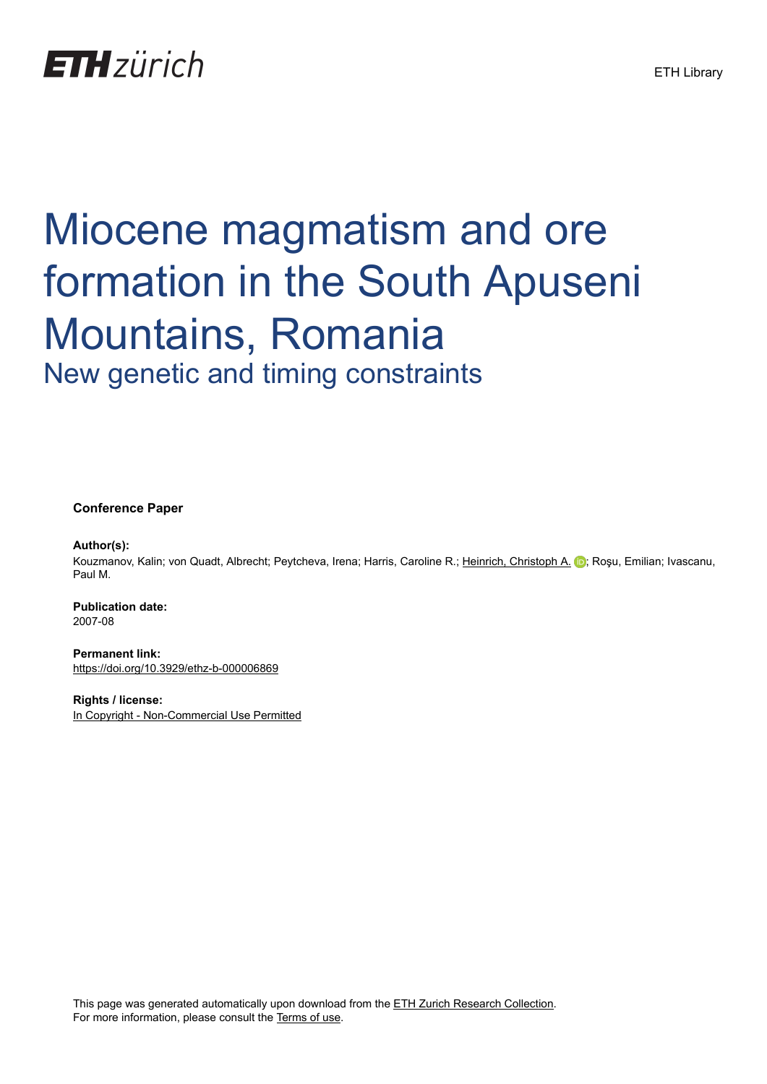## **ETH**zürich

# Miocene magmatism and ore formation in the South Apuseni Mountains, Romania New genetic and timing constraints

**Conference Paper**

#### **Author(s):**

Kouzmanov, Kalin; von Quadt, Albrecht; Peytcheva, Irena; Harris, Caroline R.; [Heinrich, Christoph A.](https://orcid.org/0000-0001-5838-4607) ii; Roșu, Emilian; Ivascanu, Paul M.

**Publication date:** 2007-08

**Permanent link:** <https://doi.org/10.3929/ethz-b-000006869>

**Rights / license:** [In Copyright - Non-Commercial Use Permitted](http://rightsstatements.org/page/InC-NC/1.0/)

This page was generated automatically upon download from the [ETH Zurich Research Collection.](https://www.research-collection.ethz.ch) For more information, please consult the [Terms of use](https://www.research-collection.ethz.ch/terms-of-use).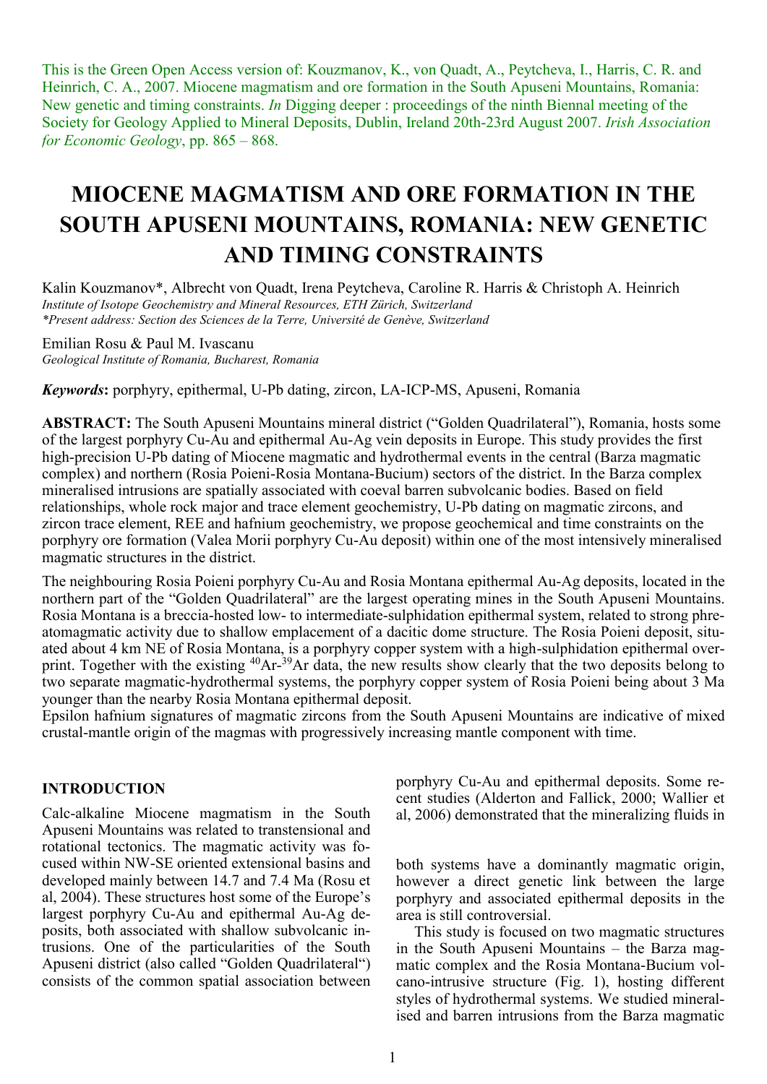This is the Green Open Access version of: Kouzmanov, K., von Quadt, A., Peytcheva, I., Harris, C. R. and Heinrich, C. A., 2007. Miocene magmatism and ore formation in the South Apuseni Mountains, Romania: New genetic and timing constraints. *In* Digging deeper : proceedings of the ninth Biennal meeting of the Society for Geology Applied to Mineral Deposits, Dublin, Ireland 20th-23rd August 2007. *Irish Association for Economic Geology*, pp. 865 – 868.

### **MIOCENE MAGMATISM AND ORE FORMATION IN THE SOUTH APUSENI MOUNTAINS, ROMANIA: NEW GENETIC AND TIMING CONSTRAINTS**

Kalin Kouzmanov\*, Albrecht von Quadt, Irena Peytcheva, Caroline R. Harris & Christoph A. Heinrich *Institute of Isotope Geochemistry and Mineral Resources, ETH Zürich, Switzerland \*Present address: Section des Sciences de la Terre, Université de Genève, Switzerland* 

Emilian Rosu & Paul M. Ivascanu

*Geological Institute of Romania, Bucharest, Romania*

*Keywords***:** porphyry, epithermal, U-Pb dating, zircon, LA-ICP-MS, Apuseni, Romania

**ABSTRACT:** The South Apuseni Mountains mineral district ("Golden Quadrilateral"), Romania, hosts some of the largest porphyry Cu-Au and epithermal Au-Ag vein deposits in Europe. This study provides the first high-precision U-Pb dating of Miocene magmatic and hydrothermal events in the central (Barza magmatic complex) and northern (Rosia Poieni-Rosia Montana-Bucium) sectors of the district. In the Barza complex mineralised intrusions are spatially associated with coeval barren subvolcanic bodies. Based on field relationships, whole rock major and trace element geochemistry, U-Pb dating on magmatic zircons, and zircon trace element, REE and hafnium geochemistry, we propose geochemical and time constraints on the porphyry ore formation (Valea Morii porphyry Cu-Au deposit) within one of the most intensively mineralised magmatic structures in the district.

The neighbouring Rosia Poieni porphyry Cu-Au and Rosia Montana epithermal Au-Ag deposits, located in the northern part of the "Golden Quadrilateral" are the largest operating mines in the South Apuseni Mountains. Rosia Montana is a breccia-hosted low- to intermediate-sulphidation epithermal system, related to strong phreatomagmatic activity due to shallow emplacement of a dacitic dome structure. The Rosia Poieni deposit, situated about 4 km NE of Rosia Montana, is a porphyry copper system with a high-sulphidation epithermal overprint. Together with the existing <sup>40</sup>Ar-<sup>39</sup>Ar data, the new results show clearly that the two deposits belong to two separate magmatic-hydrothermal systems, the porphyry copper system of Rosia Poieni being about 3 Ma younger than the nearby Rosia Montana epithermal deposit.

Epsilon hafnium signatures of magmatic zircons from the South Apuseni Mountains are indicative of mixed crustal-mantle origin of the magmas with progressively increasing mantle component with time.

#### **INTRODUCTION**

Calc-alkaline Miocene magmatism in the South Apuseni Mountains was related to transtensional and rotational tectonics. The magmatic activity was focused within NW-SE oriented extensional basins and developed mainly between 14.7 and 7.4 Ma (Rosu et al, 2004). These structures host some of the Europe's largest porphyry Cu-Au and epithermal Au-Ag deposits, both associated with shallow subvolcanic intrusions. One of the particularities of the South Apuseni district (also called "Golden Quadrilateral") consists of the common spatial association between

porphyry Cu-Au and epithermal deposits. Some recent studies (Alderton and Fallick, 2000; Wallier et al, 2006) demonstrated that the mineralizing fluids in

both systems have a dominantly magmatic origin, however a direct genetic link between the large porphyry and associated epithermal deposits in the area is still controversial.

This study is focused on two magmatic structures in the South Apuseni Mountains – the Barza magmatic complex and the Rosia Montana-Bucium volcano-intrusive structure (Fig. 1), hosting different styles of hydrothermal systems. We studied mineralised and barren intrusions from the Barza magmatic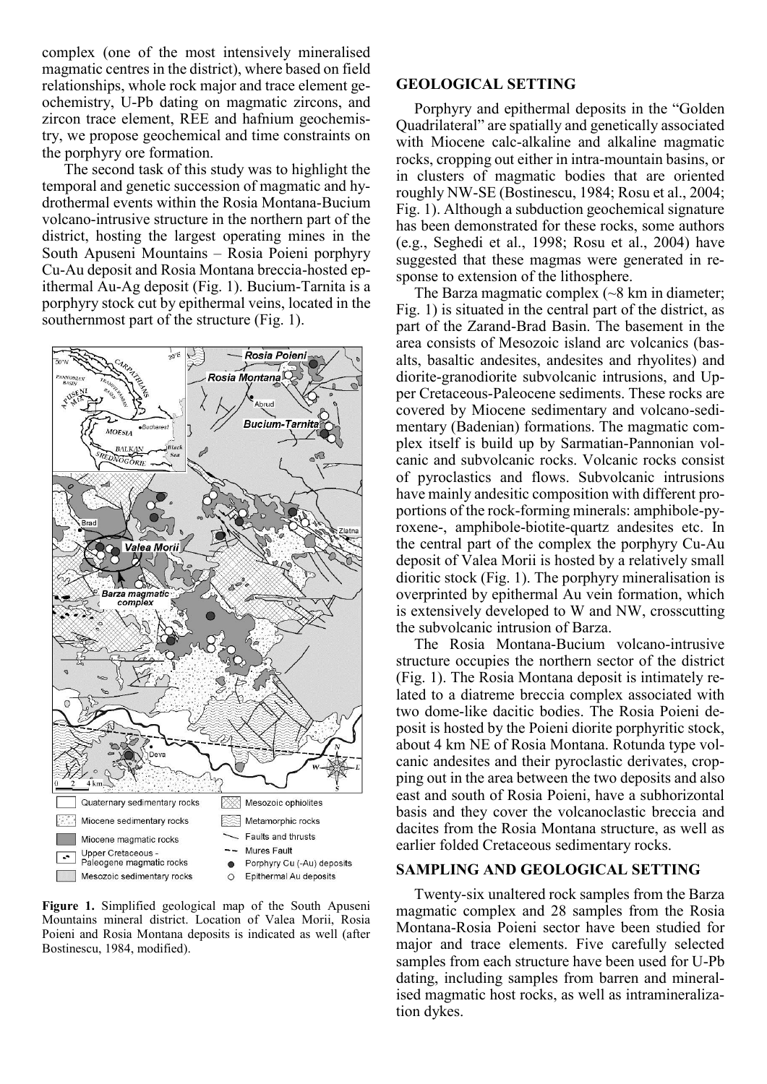complex (one of the most intensively mineralised magmatic centres in the district), where based on field relationships, whole rock major and trace element geochemistry, U-Pb dating on magmatic zircons, and zircon trace element, REE and hafnium geochemistry, we propose geochemical and time constraints on the porphyry ore formation.

 The second task of this study was to highlight the temporal and genetic succession of magmatic and hydrothermal events within the Rosia Montana-Bucium volcano-intrusive structure in the northern part of the district, hosting the largest operating mines in the South Apuseni Mountains – Rosia Poieni porphyry Cu-Au deposit and Rosia Montana breccia-hosted epithermal Au-Ag deposit (Fig. 1). Bucium-Tarnita is a porphyry stock cut by epithermal veins, located in the southernmost part of the structure (Fig. 1).



**Figure 1.** Simplified geological map of the South Apuseni Mountains mineral district. Location of Valea Morii, Rosia Poieni and Rosia Montana deposits is indicated as well (after Bostinescu, 1984, modified).

#### **GEOLOGICAL SETTING**

Porphyry and epithermal deposits in the "Golden Quadrilateral" are spatially and genetically associated with Miocene calc-alkaline and alkaline magmatic rocks, cropping out either in intra-mountain basins, or in clusters of magmatic bodies that are oriented roughly NW-SE (Bostinescu, 1984; Rosu et al., 2004; Fig. 1). Although a subduction geochemical signature has been demonstrated for these rocks, some authors (e.g., Seghedi et al., 1998; Rosu et al., 2004) have suggested that these magmas were generated in response to extension of the lithosphere.

The Barza magmatic complex  $\left(\sim8 \text{ km in diameter}\right)$ ; Fig. 1) is situated in the central part of the district, as part of the Zarand-Brad Basin. The basement in the area consists of Mesozoic island arc volcanics (basalts, basaltic andesites, andesites and rhyolites) and diorite-granodiorite subvolcanic intrusions, and Upper Cretaceous-Paleocene sediments. These rocks are covered by Miocene sedimentary and volcano-sedimentary (Badenian) formations. The magmatic complex itself is build up by Sarmatian-Pannonian volcanic and subvolcanic rocks. Volcanic rocks consist of pyroclastics and flows. Subvolcanic intrusions have mainly andesitic composition with different proportions of the rock-forming minerals: amphibole-pyroxene-, amphibole-biotite-quartz andesites etc. In the central part of the complex the porphyry Cu-Au deposit of Valea Morii is hosted by a relatively small dioritic stock (Fig. 1). The porphyry mineralisation is overprinted by epithermal Au vein formation, which is extensively developed to W and NW, crosscutting the subvolcanic intrusion of Barza.

The Rosia Montana-Bucium volcano-intrusive structure occupies the northern sector of the district (Fig. 1). The Rosia Montana deposit is intimately related to a diatreme breccia complex associated with two dome-like dacitic bodies. The Rosia Poieni deposit is hosted by the Poieni diorite porphyritic stock, about 4 km NE of Rosia Montana. Rotunda type volcanic andesites and their pyroclastic derivates, cropping out in the area between the two deposits and also east and south of Rosia Poieni, have a subhorizontal basis and they cover the volcanoclastic breccia and dacites from the Rosia Montana structure, as well as earlier folded Cretaceous sedimentary rocks.

#### **SAMPLING AND GEOLOGICAL SETTING**

Twenty-six unaltered rock samples from the Barza magmatic complex and 28 samples from the Rosia Montana-Rosia Poieni sector have been studied for major and trace elements. Five carefully selected samples from each structure have been used for U-Pb dating, including samples from barren and mineralised magmatic host rocks, as well as intramineralization dykes.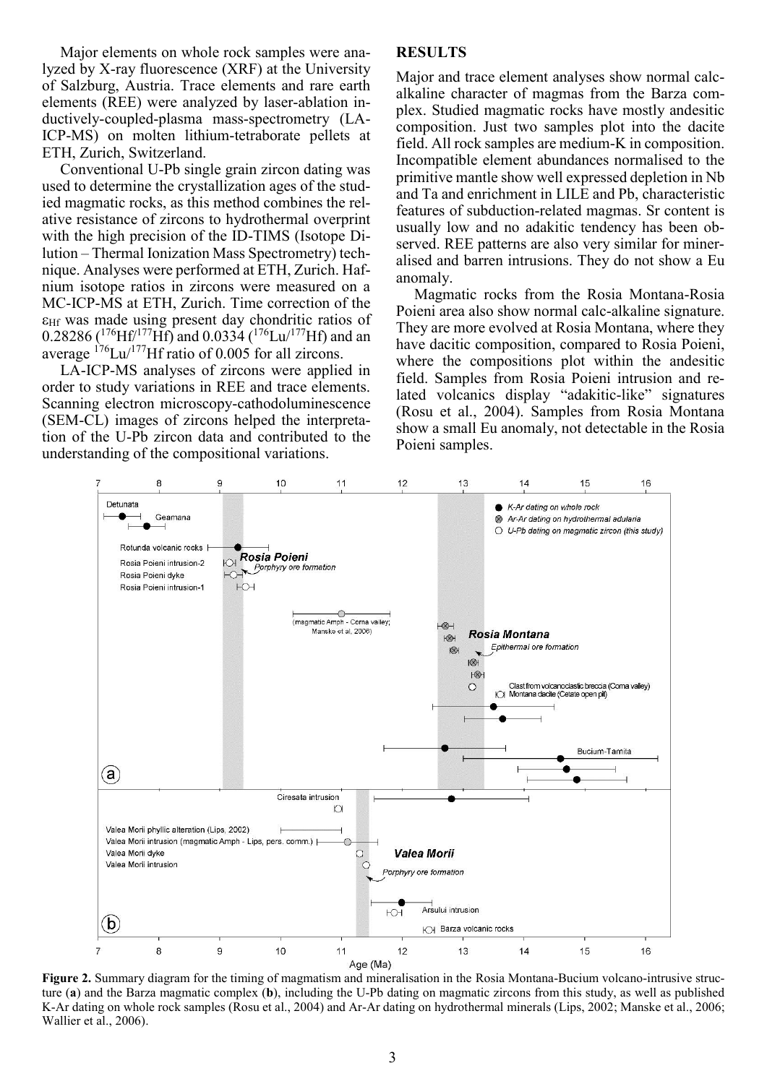Major elements on whole rock samples were analyzed by X-ray fluorescence (XRF) at the University of Salzburg, Austria. Trace elements and rare earth elements (REE) were analyzed by laser-ablation inductively-coupled-plasma mass-spectrometry (LA-ICP-MS) on molten lithium-tetraborate pellets at ETH, Zurich, Switzerland.

Conventional U-Pb single grain zircon dating was used to determine the crystallization ages of the studied magmatic rocks, as this method combines the relative resistance of zircons to hydrothermal overprint with the high precision of the ID-TIMS (Isotope Dilution – Thermal Ionization Mass Spectrometry) technique. Analyses were performed at ETH, Zurich. Hafnium isotope ratios in zircons were measured on a MC-ICP-MS at ETH, Zurich. Time correction of the Hf was made using present day chondritic ratios of 0.28286 ( $^{176}$ Hf<sup> $/177$ </sup>Hf) and 0.0334 ( $^{176}$ Lu<sup> $/177$ </sup>Hf) and an average  $176$ Lu/ $177$ Hf ratio of 0.005 for all zircons.

LA-ICP-MS analyses of zircons were applied in order to study variations in REE and trace elements. Scanning electron microscopy-cathodoluminescence (SEM-CL) images of zircons helped the interpretation of the U-Pb zircon data and contributed to the understanding of the compositional variations.

#### **RESULTS**

Major and trace element analyses show normal calcalkaline character of magmas from the Barza complex. Studied magmatic rocks have mostly andesitic composition. Just two samples plot into the dacite field. All rock samples are medium-K in composition. Incompatible element abundances normalised to the primitive mantle show well expressed depletion in Nb and Ta and enrichment in LILE and Pb, characteristic features of subduction-related magmas. Sr content is usually low and no adakitic tendency has been observed. REE patterns are also very similar for mineralised and barren intrusions. They do not show a Eu anomaly.

Magmatic rocks from the Rosia Montana-Rosia Poieni area also show normal calc-alkaline signature. They are more evolved at Rosia Montana, where they have dacitic composition, compared to Rosia Poieni, where the compositions plot within the andesitic field. Samples from Rosia Poieni intrusion and related volcanics display "adakitic-like" signatures (Rosu et al., 2004). Samples from Rosia Montana show a small Eu anomaly, not detectable in the Rosia Poieni samples.



**Figure 2.** Summary diagram for the timing of magmatism and mineralisation in the Rosia Montana-Bucium volcano-intrusive structure (**a**) and the Barza magmatic complex (**b**), including the U-Pb dating on magmatic zircons from this study, as well as published K-Ar dating on whole rock samples (Rosu et al., 2004) and Ar-Ar dating on hydrothermal minerals (Lips, 2002; Manske et al., 2006; Wallier et al., 2006).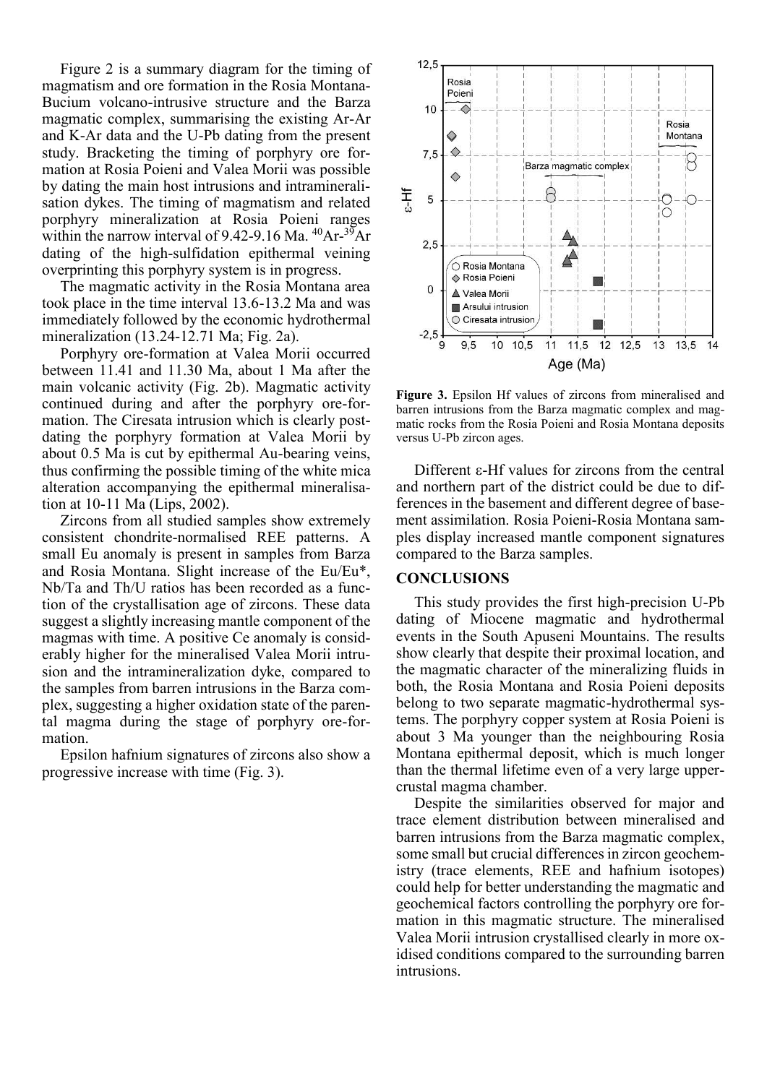Figure 2 is a summary diagram for the timing of magmatism and ore formation in the Rosia Montana-Bucium volcano-intrusive structure and the Barza magmatic complex, summarising the existing Ar-Ar and K-Ar data and the U-Pb dating from the present study. Bracketing the timing of porphyry ore formation at Rosia Poieni and Valea Morii was possible by dating the main host intrusions and intramineralisation dykes. The timing of magmatism and related porphyry mineralization at Rosia Poieni ranges within the narrow interval of 9.42-9.16 Ma.  $^{40}Ar^{-39}Ar$ dating of the high-sulfidation epithermal veining overprinting this porphyry system is in progress.

The magmatic activity in the Rosia Montana area took place in the time interval 13.6-13.2 Ma and was immediately followed by the economic hydrothermal mineralization (13.24-12.71 Ma; Fig. 2a).

Porphyry ore-formation at Valea Morii occurred between 11.41 and 11.30 Ma, about 1 Ma after the main volcanic activity (Fig. 2b). Magmatic activity continued during and after the porphyry ore-formation. The Ciresata intrusion which is clearly postdating the porphyry formation at Valea Morii by about 0.5 Ma is cut by epithermal Au-bearing veins, thus confirming the possible timing of the white mica alteration accompanying the epithermal mineralisation at 10-11 Ma (Lips, 2002).

Zircons from all studied samples show extremely consistent chondrite-normalised REE patterns. A small Eu anomaly is present in samples from Barza and Rosia Montana. Slight increase of the Eu/Eu\*, Nb/Ta and Th/U ratios has been recorded as a function of the crystallisation age of zircons. These data suggest a slightly increasing mantle component of the magmas with time. A positive Ce anomaly is considerably higher for the mineralised Valea Morii intrusion and the intramineralization dyke, compared to the samples from barren intrusions in the Barza complex, suggesting a higher oxidation state of the parental magma during the stage of porphyry ore-formation.

Epsilon hafnium signatures of zircons also show a progressive increase with time (Fig. 3).



**Figure 3.** Epsilon Hf values of zircons from mineralised and barren intrusions from the Barza magmatic complex and magmatic rocks from the Rosia Poieni and Rosia Montana deposits versus U-Pb zircon ages.

Different  $\varepsilon$ -Hf values for zircons from the central and northern part of the district could be due to differences in the basement and different degree of basement assimilation. Rosia Poieni-Rosia Montana samples display increased mantle component signatures compared to the Barza samples.

#### **CONCLUSIONS**

This study provides the first high-precision U-Pb dating of Miocene magmatic and hydrothermal events in the South Apuseni Mountains. The results show clearly that despite their proximal location, and the magmatic character of the mineralizing fluids in both, the Rosia Montana and Rosia Poieni deposits belong to two separate magmatic-hydrothermal systems. The porphyry copper system at Rosia Poieni is about 3 Ma younger than the neighbouring Rosia Montana epithermal deposit, which is much longer than the thermal lifetime even of a very large uppercrustal magma chamber.

Despite the similarities observed for major and trace element distribution between mineralised and barren intrusions from the Barza magmatic complex, some small but crucial differences in zircon geochemistry (trace elements, REE and hafnium isotopes) could help for better understanding the magmatic and geochemical factors controlling the porphyry ore formation in this magmatic structure. The mineralised Valea Morii intrusion crystallised clearly in more oxidised conditions compared to the surrounding barren intrusions.